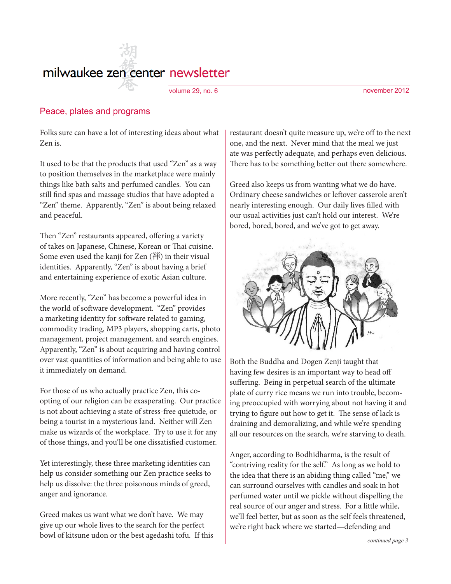# milwaukee zen center newsletter

#### volume 29, no. 6 november 2012

### Peace, plates and programs

Folks sure can have a lot of interesting ideas about what Zen is.

It used to be that the products that used "Zen" as a way to position themselves in the marketplace were mainly things like bath salts and perfumed candles. You can still find spas and massage studios that have adopted a "Zen" theme. Apparently, "Zen" is about being relaxed and peaceful.

Then "Zen" restaurants appeared, offering a variety of takes on Japanese, Chinese, Korean or Thai cuisine. Some even used the kanji for Zen (禅) in their visual identities. Apparently, "Zen" is about having a brief and entertaining experience of exotic Asian culture.

More recently, "Zen" has become a powerful idea in the world of software development. "Zen" provides a marketing identity for software related to gaming, commodity trading, MP3 players, shopping carts, photo management, project management, and search engines. Apparently, "Zen" is about acquiring and having control over vast quantities of information and being able to use it immediately on demand.

For those of us who actually practice Zen, this coopting of our religion can be exasperating. Our practice is not about achieving a state of stress-free quietude, or being a tourist in a mysterious land. Neither will Zen make us wizards of the workplace. Try to use it for any of those things, and you'll be one dissatisfied customer.

Yet interestingly, these three marketing identities can help us consider something our Zen practice seeks to help us dissolve: the three poisonous minds of greed, anger and ignorance.

Greed makes us want what we don't have. We may give up our whole lives to the search for the perfect bowl of kitsune udon or the best agedashi tofu. If this restaurant doesn't quite measure up, we're off to the next one, and the next. Never mind that the meal we just ate was perfectly adequate, and perhaps even delicious. There has to be something better out there somewhere.

Greed also keeps us from wanting what we do have. Ordinary cheese sandwiches or leftover casserole aren't nearly interesting enough. Our daily lives filled with our usual activities just can't hold our interest. We're bored, bored, bored, and we've got to get away.



Both the Buddha and Dogen Zenji taught that having few desires is an important way to head off suffering. Being in perpetual search of the ultimate plate of curry rice means we run into trouble, becoming preoccupied with worrying about not having it and trying to figure out how to get it. The sense of lack is draining and demoralizing, and while we're spending all our resources on the search, we're starving to death.

Anger, according to Bodhidharma, is the result of "contriving reality for the self." As long as we hold to the idea that there is an abiding thing called "me," we can surround ourselves with candles and soak in hot perfumed water until we pickle without dispelling the real source of our anger and stress. For a little while, we'll feel better, but as soon as the self feels threatened, we're right back where we started—defending and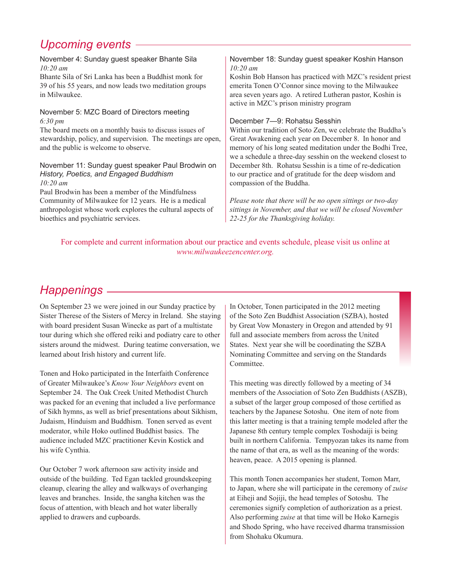## *Upcoming events*

#### November 4: Sunday guest speaker Bhante Sila *10:20 am*

Bhante Sila of Sri Lanka has been a Buddhist monk for 39 of his 55 years, and now leads two meditation groups in Milwaukee.

November 5: MZC Board of Directors meeting *6:30 pm*

The board meets on a monthly basis to discuss issues of stewardship, policy, and supervision. The meetings are open, and the public is welcome to observe.

#### November 11: Sunday guest speaker Paul Brodwin on *History, Poetics, and Engaged Buddhism 10:20 am*

Paul Brodwin has been a member of the Mindfulness Community of Milwaukee for 12 years. He is a medical anthropologist whose work explores the cultural aspects of bioethics and psychiatric services.

#### November 18: Sunday guest speaker Koshin Hanson *10:20 am*

Koshin Bob Hanson has practiced with MZC's resident priest emerita Tonen O'Connor since moving to the Milwaukee area seven years ago. A retired Lutheran pastor, Koshin is active in MZC's prison ministry program

#### December 7—9: Rohatsu Sesshin

Within our tradition of Soto Zen, we celebrate the Buddha's Great Awakening each year on December 8. In honor and memory of his long seated meditation under the Bodhi Tree, we a schedule a three-day sesshin on the weekend closest to December 8th. Rohatsu Sesshin is a time of re-dedication to our practice and of gratitude for the deep wisdom and compassion of the Buddha.

*Please note that there will be no open sittings or two-day sittings in November, and that we will be closed November 22-25 for the Thanksgiving holiday.*

For complete and current information about our practice and events schedule, please visit us online at *www.milwaukeezencenter.org.*

## *Happenings*

On September 23 we were joined in our Sunday practice by Sister Therese of the Sisters of Mercy in Ireland. She staying with board president Susan Winecke as part of a multistate tour during which she offered reiki and podiatry care to other sisters around the midwest. During teatime conversation, we learned about Irish history and current life.

Tonen and Hoko participated in the Interfaith Conference of Greater Milwaukee's *Know Your Neighbors* event on September 24. The Oak Creek United Methodist Church was packed for an evening that included a live performance of Sikh hymns, as well as brief presentations about Sikhism, Judaism, Hinduism and Buddhism. Tonen served as event moderator, while Hoko outlined Buddhist basics. The audience included MZC practitioner Kevin Kostick and his wife Cynthia.

Our October 7 work afternoon saw activity inside and outside of the building. Ted Egan tackled groundskeeping cleanup, clearing the alley and walkways of overhanging leaves and branches. Inside, the sangha kitchen was the focus of attention, with bleach and hot water liberally applied to drawers and cupboards.

In October, Tonen participated in the 2012 meeting of the Soto Zen Buddhist Association (SZBA), hosted by Great Vow Monastery in Oregon and attended by 91 full and associate members from across the United States. Next year she will be coordinating the SZBA Nominating Committee and serving on the Standards Committee.

This meeting was directly followed by a meeting of 34 members of the Association of Soto Zen Buddhists (ASZB), a subset of the larger group composed of those certified as teachers by the Japanese Sotoshu. One item of note from this latter meeting is that a training temple modeled after the Japanese 8th century temple complex Toshodaiji is being built in northern California. Tempyozan takes its name from the name of that era, as well as the meaning of the words: heaven, peace. A 2015 opening is planned.

This month Tonen accompanies her student, Tomon Marr, to Japan, where she will participate in the ceremony of *zuise* at Eiheji and Sojiji, the head temples of Sotoshu. The ceremonies signify completion of authorization as a priest. Also performing *zuise* at that time will be Hoko Karnegis and Shodo Spring, who have received dharma transmission from Shohaku Okumura.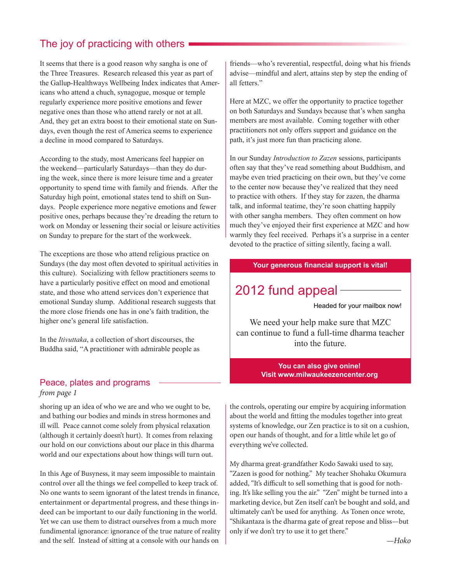## The joy of practicing with others

It seems that there is a good reason why sangha is one of the Three Treasures. Research released this year as part of the Gallup-Healthways Wellbeing Index indicates that Americans who attend a chuch, synagogue, mosque or temple regularly experience more positive emotions and fewer negative ones than those who attend rarely or not at all. And, they get an extra boost to their emotional state on Sundays, even though the rest of America seems to experience a decline in mood compared to Saturdays.

According to the study, most Americans feel happier on the weekend—particularly Saturdays—than they do during the week, since there is more leisure time and a greater opportunity to spend time with family and friends. After the Saturday high point, emotional states tend to shift on Sundays. People experience more negative emotions and fewer positive ones, perhaps because they're dreading the return to work on Monday or lessening their social or leisure activities on Sunday to prepare for the start of the workweek.

The exceptions are those who attend religious practice on Sundays (the day most often devoted to spiritual activities in this culture). Socializing with fellow practitioners seems to have a particularly positive effect on mood and emotional state, and those who attend services don't experience that emotional Sunday slump. Additional research suggests that the more close friends one has in one's faith tradition, the higher one's general life satisfaction.

In the *Itivuttaka*, a collection of short discourses, the Buddha said, "A practitioner with admirable people as

#### Peace, plates and programs *from page 1*

shoring up an idea of who we are and who we ought to be, and bathing our bodies and minds in stress hormones and ill will. Peace cannot come solely from physical relaxation (although it certainly doesn't hurt). It comes from relaxing our hold on our convictions about our place in this dharma world and our expectations about how things will turn out.

In this Age of Busyness, it may seem impossible to maintain control over all the things we feel compelled to keep track of. No one wants to seem ignorant of the latest trends in finance, entertainment or departmental progress, and these things indeed can be important to our daily functioning in the world. Yet we can use them to distract ourselves from a much more fundimental ignorance: ignorance of the true nature of reality and the self. Instead of sitting at a console with our hands on

friends—who's reverential, respectful, doing what his friends advise—mindful and alert, attains step by step the ending of all fetters."

Here at MZC, we offer the opportunity to practice together on both Saturdays and Sundays because that's when sangha members are most available. Coming together with other practitioners not only offers support and guidance on the path, it's just more fun than practicing alone.

In our Sunday *Introduction to Zazen* sessions, participants often say that they've read something about Buddhism, and maybe even tried practicing on their own, but they've come to the center now because they've realized that they need to practice with others. If they stay for zazen, the dharma talk, and informal teatime, they're soon chatting happily with other sangha members. They often comment on how much they've enjoyed their first experience at MZC and how warmly they feel received. Perhaps it's a surprise in a center devoted to the practice of sitting silently, facing a wall.

#### **Your generous financial support is vital!**

# 2012 fund appeal

Headed for your mailbox now!

We need your help make sure that MZC can continue to fund a full-time dharma teacher into the future.

#### **You can also give onine! Visit www.milwaukeezencenter.org**

the controls, operating our empire by acquiring information about the world and fitting the modules together into great systems of knowledge, our Zen practice is to sit on a cushion, open our hands of thought, and for a little while let go of everything we've collected.

My dharma great-grandfather Kodo Sawaki used to say, "Zazen is good for nothing." My teacher Shohaku Okumura added, "It's difficult to sell something that is good for nothing. It's like selling you the air." "Zen" might be turned into a marketing device, but Zen itself can't be bought and sold, and ultimately can't be used for anything. As Tonen once wrote, "Shikantaza is the dharma gate of great repose and bliss—but only if we don't try to use it to get there."